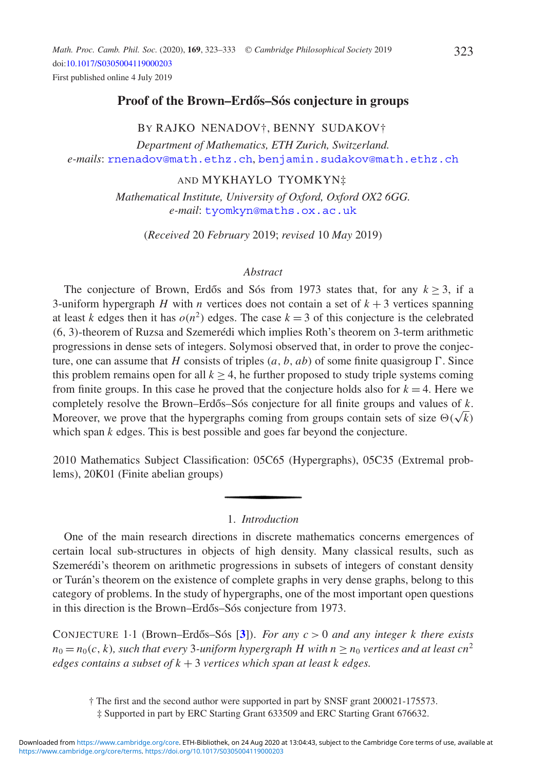# **Proof of the Brown–Erdős–Sós conjecture in groups**

## BY RAJKO NENADOV†, BENNY SUDAKOV†

*Department of Mathematics, ETH Zurich, Switzerland. e-mails*: [rnenadov@math.ethz.ch](mailto:rnenadov@math.ethz.ch), [benjamin.sudakov@math.ethz.ch](mailto:benjamin.sudakov@math.ethz.ch)

### AND MYKHAYLO TYOMKYN‡

*Mathematical Institute, University of Oxford, Oxford OX2 6GG. e-mail*: [tyomkyn@maths.ox.ac.uk](mailto:tyomkyn@maths.ox.ac.uk)

(*Received* 20 *February* 2019; *revised* 10 *May* 2019)

### *Abstract*

The conjecture of Brown, Erdős and Sós from 1973 states that, for any  $k \geq 3$ , if a 3-uniform hypergraph *H* with *n* vertices does not contain a set of  $k + 3$  vertices spanning at least *k* edges then it has  $o(n^2)$  edges. The case  $k = 3$  of this conjecture is the celebrated (6, 3)-theorem of Ruzsa and Szemerédi which implies Roth's theorem on 3-term arithmetic progressions in dense sets of integers. Solymosi observed that, in order to prove the conjecture, one can assume that *H* consists of triples  $(a, b, ab)$  of some finite quasigroup  $\Gamma$ . Since this problem remains open for all  $k > 4$ , he further proposed to study triple systems coming from finite groups. In this case he proved that the conjecture holds also for  $k = 4$ . Here we completely resolve the Brown–Erdős–Sós conjecture for all finite groups and values of  $k$ . Moreover, we prove that the hypergraphs coming from groups contain sets of size  $\Theta(\sqrt{k})$ which span *k* edges. This is best possible and goes far beyond the conjecture.

2010 Mathematics Subject Classification: 05C65 (Hypergraphs), 05C35 (Extremal problems), 20K01 (Finite abelian groups)

### 1. *Introduction*

One of the main research directions in discrete mathematics concerns emergences of certain local sub-structures in objects of high density. Many classical results, such as Szemerédi's theorem on arithmetic progressions in subsets of integers of constant density or Turán's theorem on the existence of complete graphs in very dense graphs, belong to this category of problems. In the study of hypergraphs, one of the most important open questions in this direction is the Brown–Erdős–Sós conjecture from 1973.

CONJECTURE 1·1 (Brown–Erdos–Sós [ ˝ **[3](#page-9-0)**]). *For any c* > 0 *and any integer k there exists*  $n_0 = n_0(c, k)$ , such that every 3-uniform hypergraph H with  $n \geq n_0$  vertices and at least cn<sup>2</sup> *edges contains a subset of k* + 3 *vertices which span at least k edges.*

† The first and the second author were supported in part by SNSF grant 200021-175573.

<sup>‡</sup> Supported in part by ERC Starting Grant 633509 and ERC Starting Grant 676632.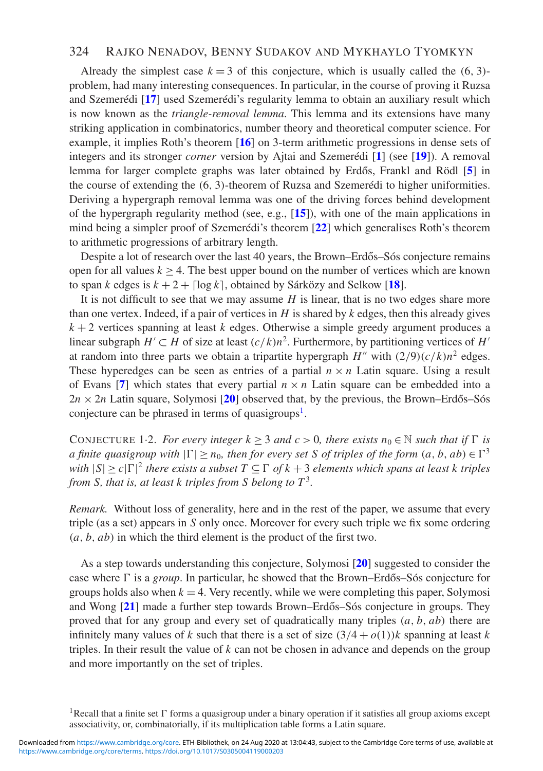### 324 RAJKO NENADOV, BENNY SUDAKOV AND MYKHAYLO TYOMKYN

Already the simplest case  $k = 3$  of this conjecture, which is usually called the  $(6, 3)$ problem, had many interesting consequences. In particular, in the course of proving it Ruzsa and Szemerédi [**[17](#page-10-0)**] used Szemerédi's regularity lemma to obtain an auxiliary result which is now known as the *triangle-removal lemma*. This lemma and its extensions have many striking application in combinatorics, number theory and theoretical computer science. For example, it implies Roth's theorem [**[16](#page-10-1)**] on 3-term arithmetic progressions in dense sets of integers and its stronger *corner* version by Ajtai and Szemerédi [**[1](#page-9-1)**] (see [**[19](#page-10-2)**]). A removal lemma for larger complete graphs was later obtained by Erdős, Frankl and Rödl [[5](#page-9-2)] in the course of extending the (6, 3)-theorem of Ruzsa and Szemerédi to higher uniformities. Deriving a hypergraph removal lemma was one of the driving forces behind development of the hypergraph regularity method (see, e.g., [**[15](#page-10-3)**]), with one of the main applications in mind being a simpler proof of Szemerédi's theorem [**[22](#page-10-4)**] which generalises Roth's theorem to arithmetic progressions of arbitrary length.

Despite a lot of research over the last 40 years, the Brown–Erdős–Sós conjecture remains open for all values  $k \geq 4$ . The best upper bound on the number of vertices which are known to span *k* edges is  $k + 2 + \lfloor \log k \rfloor$ , obtained by Sárközy and Selkow [[18](#page-10-5)].

It is not difficult to see that we may assume *H* is linear, that is no two edges share more than one vertex. Indeed, if a pair of vertices in *H* is shared by *k* edges, then this already gives  $k + 2$  vertices spanning at least *k* edges. Otherwise a simple greedy argument produces a linear subgraph *H'*  $\subset$  *H* of size at least  $(c/k)n^2$ . Furthermore, by partitioning vertices of *H'* at random into three parts we obtain a tripartite hypergraph  $H''$  with  $\left(\frac{2}{9}\right)\left(\frac{c}{k}\right)n^2$  edges. These hyperedges can be seen as entries of a partial  $n \times n$  Latin square. Using a result of Evans [[7](#page-9-3)] which states that every partial  $n \times n$  Latin square can be embedded into a  $2n \times 2n$  Latin square, Solymosi [[20](#page-10-6)] observed that, by the previous, the Brown–Erdős–Sós conjecture can be phrased in terms of quasigroups<sup>[1](#page-1-0)</sup>.

<span id="page-1-1"></span>CONJECTURE 1.2. *For every integer*  $k \geq 3$  *and c* > 0*, there exists*  $n_0 \in \mathbb{N}$  *such that if*  $\Gamma$  *is a* finite quasigroup with  $|\Gamma| \ge n_0$ , then for every set S of triples of the form  $(a, b, ab) \in \Gamma^3$ *with*  $|S| \ge c |\Gamma|^2$  *there exists a subset*  $T \subseteq \Gamma$  *of*  $k + 3$  *elements which spans at least k triples from S, that is, at least k triples from S belong to*  $T^3$ .

*Remark.* Without loss of generality, here and in the rest of the paper, we assume that every triple (as a set) appears in *S* only once. Moreover for every such triple we fix some ordering (*a*, *b*, *ab*) in which the third element is the product of the first two.

As a step towards understanding this conjecture, Solymosi [**[20](#page-10-6)**] suggested to consider the case where  $\Gamma$  is a *group*. In particular, he showed that the Brown–Erdős–Sós conjecture for groups holds also when  $k = 4$ . Very recently, while we were completing this paper, Solymosi and Wong [[21](#page-10-7)] made a further step towards Brown–Erdős–Sós conjecture in groups. They proved that for any group and every set of quadratically many triples (*a*, *b*, *ab*) there are infinitely many values of *k* such that there is a set of size  $(3/4 + o(1))k$  spanning at least *k* triples. In their result the value of *k* can not be chosen in advance and depends on the group and more importantly on the set of triples.

<span id="page-1-0"></span><sup>&</sup>lt;sup>1</sup>Recall that a finite set  $\Gamma$  forms a quasigroup under a binary operation if it satisfies all group axioms except associativity, or, combinatorially, if its multiplication table forms a Latin square.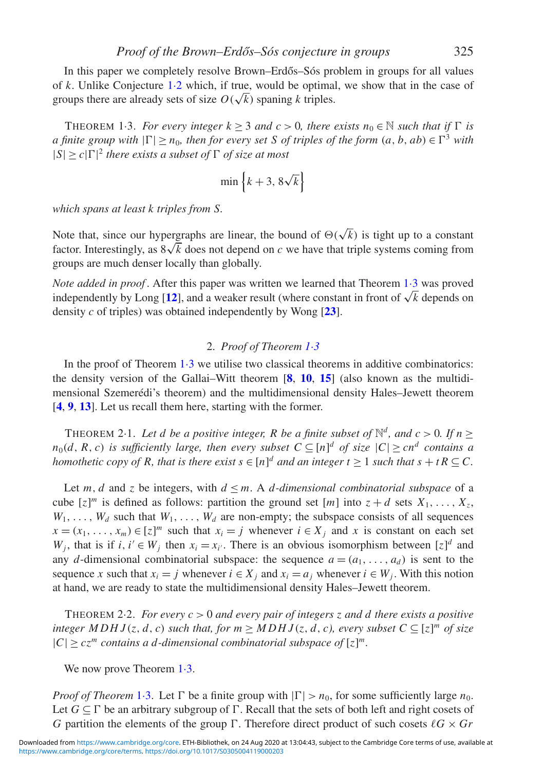In this paper we completely resolve Brown–Erdős–Sós problem in groups for all values of *k*. Unlike Conjecture [1](#page-1-1)·2 which, if true, would be optimal, we show that in the case of for *k*. Onlike Conjecture 1.2 which, if they would be optimal groups there are already sets of size  $O(\sqrt{k})$  spaning *k* triples.

<span id="page-2-0"></span>THEOREM 1.3. *For every integer*  $k \geq 3$  *and*  $c > 0$ , *there exists*  $n_0 \in \mathbb{N}$  *such that if*  $\Gamma$  *is a* finite group with  $|\Gamma| \ge n_0$ , then for every set S of triples of the form  $(a, b, ab) \in \Gamma^3$  with  $|S| \ge c |\Gamma|^2$  there exists a subset of  $\Gamma$  of size at most

$$
\min\left\{k+3, 8\sqrt{k}\right\}
$$

*which spans at least k triples from S.*

Note that, since our hypergraphs are linear, the bound of  $\Theta(\sqrt{k})$  is tight up to a constant factor. Interestingly, as  $8\sqrt{k}$  does not depend on *c* we have that triple systems coming from groups are much denser locally than globally.

*Note added in proof* . After this paper was written we learned that Theorem 1·3 was proved independently by Long [**[12](#page-9-4)**], and a weaker result (where constant in front of  $\sqrt{k}$  depends on density *c* of triples) was obtained independently by Wong [**[23](#page-10-8)**].

### 2. *Proof of Theorem [1](#page-2-0)*·*3*

In the proof of Theorem  $1·3$  $1·3$  we utilise two classical theorems in additive combinatorics: the density version of the Gallai–Witt theorem [**[8](#page-9-5)**, **[10](#page-9-6)**, **[15](#page-10-3)**] (also known as the multidimensional Szemerédi's theorem) and the multidimensional density Hales–Jewett theorem [**[4](#page-9-7)**, **[9](#page-9-8)**, **[13](#page-9-9)**]. Let us recall them here, starting with the former.

<span id="page-2-1"></span>THEOREM 2·1. Let d be a positive integer, R be a finite subset of  $\mathbb{N}^d$ , and  $c > 0$ . If  $n > 0$  $n_0(d, R, c)$  *is sufficiently large, then every subset*  $C \subseteq [n]^d$  *of size*  $|C| \geq cn^d$  *contains a homothetic copy of R, that is there exist*  $s \in [n]^d$  *and an integer*  $t \ge 1$  *such that*  $s + tR \subseteq C$ *.* 

Let  $m, d$  and  $z$  be integers, with  $d \leq m$ . A *d*-dimensional combinatorial subspace of a cube  $[z]^m$  is defined as follows: partition the ground set  $[m]$  into  $z + d$  sets  $X_1, \ldots, X_z$  $W_1, \ldots, W_d$  such that  $W_1, \ldots, W_d$  are non-empty; the subspace consists of all sequences  $x = (x_1, \ldots, x_m) \in [z]^m$  such that  $x_i = j$  whenever  $i \in X_j$  and *x* is constant on each set *W<sub>j</sub>*, that is if  $i, i' \in W_j$  then  $x_i = x_{i'}$ . There is an obvious isomorphism between  $[z]^d$  and any *d*-dimensional combinatorial subspace: the sequence  $a = (a_1, \ldots, a_d)$  is sent to the sequence *x* such that  $x_i = j$  whenever  $i \in X_j$  and  $x_i = a_j$  whenever  $i \in W_j$ . With this notion at hand, we are ready to state the multidimensional density Hales–Jewett theorem.

<span id="page-2-2"></span>THEOREM 2·2. *For every c* > 0 *and every pair of integers z and d there exists a positive integer MDHJ*(*z*, *d*, *c*) *such that, for*  $m \geq MDHJ(z, d, c)$ , *every subset*  $C \subseteq [z]^m$  *of size*  $|C| \geq c z^m$  *contains a d-dimensional combinatorial subspace of*  $[z]^m$ .

We now prove Theorem  $1·3$ .

*Proof of Theorem* 1.[3.](#page-2-0) Let  $\Gamma$  be a finite group with  $|\Gamma| > n_0$ , for some sufficiently large  $n_0$ . Let  $G \subseteq \Gamma$  be an arbitrary subgroup of  $\Gamma$ . Recall that the sets of both left and right cosets of *G* partition the elements of the group  $\Gamma$ . Therefore direct product of such cosets  $\ell G \times Gr$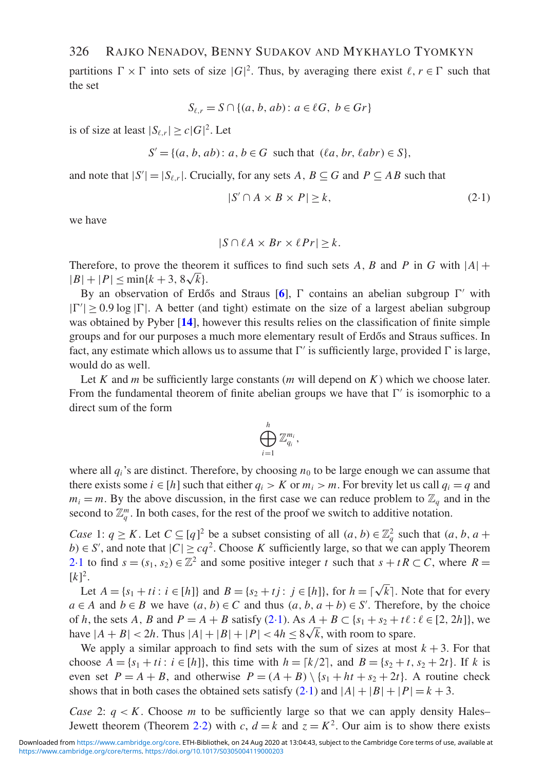# 326 RAJKO NENADOV, BENNY SUDAKOV AND MYKHAYLO TYOMKYN

partitions  $\Gamma \times \Gamma$  into sets of size  $|G|^2$ . Thus, by averaging there exist  $\ell, r \in \Gamma$  such that the set

$$
S_{\ell,r} = S \cap \{(a, b, ab) : a \in \ell G, b \in Gr\}
$$

is of size at least  $|S_{\ell,r}| \ge c |G|^2$ . Let

$$
S' = \{(a, b, ab) : a, b \in G \text{ such that } (\ell a, br, \ell abr) \in S\},
$$

and note that  $|S'| = |S_{\ell,r}|$ . Crucially, for any sets *A*,  $B \subseteq G$  and  $P \subseteq AB$  such that

<span id="page-3-0"></span>
$$
|S' \cap A \times B \times P| \ge k,\tag{2-1}
$$

we have

$$
|S \cap \ell A \times Br \times \ell Pr| \geq k.
$$

Therefore, to prove the theorem it suffices to find such sets A, B and P in G with  $|A|$  +  $|B|+|P| \le \min\{k+3, 8\sqrt{k}\}.$ 

By an observation of Erdős and Straus  $[6]$  $[6]$  $[6]$ ,  $\Gamma$  contains an abelian subgroup  $\Gamma'$  with  $|\Gamma'| \ge 0.9 \log |\Gamma|$ . A better (and tight) estimate on the size of a largest abelian subgroup was obtained by Pyber [**[14](#page-10-9)**], however this results relies on the classification of finite simple groups and for our purposes a much more elementary result of Erdős and Straus suffices. In fact, any estimate which allows us to assume that  $\Gamma'$  is sufficiently large, provided  $\Gamma$  is large, would do as well.

Let *K* and *m* be sufficiently large constants (*m* will depend on *K*) which we choose later. From the fundamental theorem of finite abelian groups we have that  $\Gamma'$  is isomorphic to a direct sum of the form

$$
\bigoplus_{i=1}^h \mathbb{Z}_{q_i}^{m_i},
$$

where all  $q_i$ 's are distinct. Therefore, by choosing  $n_0$  to be large enough we can assume that there exists some  $i \in [h]$  such that either  $q_i > K$  or  $m_i > m$ . For brevity let us call  $q_i = q$  and  $m_i = m$ . By the above discussion, in the first case we can reduce problem to  $\mathbb{Z}_q$  and in the second to  $\mathbb{Z}_q^m$ . In both cases, for the rest of the proof we switch to additive notation.

*Case* 1:  $q \ge K$ . Let  $C \subseteq [q]^2$  be a subset consisting of all  $(a, b) \in \mathbb{Z}_q^2$  such that  $(a, b, a +$ *b*) ∈ *S*<sup>'</sup>, and note that  $|C| \geq cq^2$ . Choose *K* sufficiently large, so that we can apply Theorem [2](#page-2-1)·1 to find  $s = (s_1, s_2) \in \mathbb{Z}^2$  and some positive integer *t* such that  $s + tR \subset C$ , where  $R =$  $[k]^2$ .

Let  $A = \{s_1 + ti : i \in [h]\}$  and  $B = \{s_2 + tj : j \in [h]\}$ , for  $h = \lfloor \sqrt{k} \rfloor$ . Note that for every *a* ∈ *A* and *b* ∈ *B* we have  $(a, b)$  ∈ *C* and thus  $(a, b, a + b)$  ∈ *S*<sup> $\prime$ </sup>. Therefore, by the choice of *h*, the sets *A*, *B* and  $P = A + B$  satisfy [\(2](#page-3-0)·1). As  $A + B \subset \{s_1 + s_2 + t\ell : \ell \in [2, 2h]\}$ , we or *h*, the sets *A*, *B* and  $P = A + B$  satisfy (2.1). As  $A + B \subset \{s_1 + s_2 + t\}$ :<br>have  $|A + B| < 2h$ . Thus  $|A| + |B| + |P| < 4h \le 8\sqrt{k}$ , with room to spare.

We apply a similar approach to find sets with the sum of sizes at most  $k + 3$ . For that choose  $A = \{s_1 + ti : i \in [h]\}$ , this time with  $h = [k/2]$ , and  $B = \{s_2 + t, s_2 + 2t\}$ . If k is even set  $P = A + B$ , and otherwise  $P = (A + B) \setminus \{s_1 + ht + s_2 + 2t\}$ . A routine check shows that in both cases the obtained sets satisfy  $(2-1)$  $(2-1)$  and  $|A|+|B|+|P|=k+3$ .

*Case* 2:  $q < K$ . Choose *m* to be sufficiently large so that we can apply density Hales– Jewett theorem (Theorem 2.[2\)](#page-2-2) with *c*,  $d = k$  and  $z = K^2$ . Our aim is to show there exists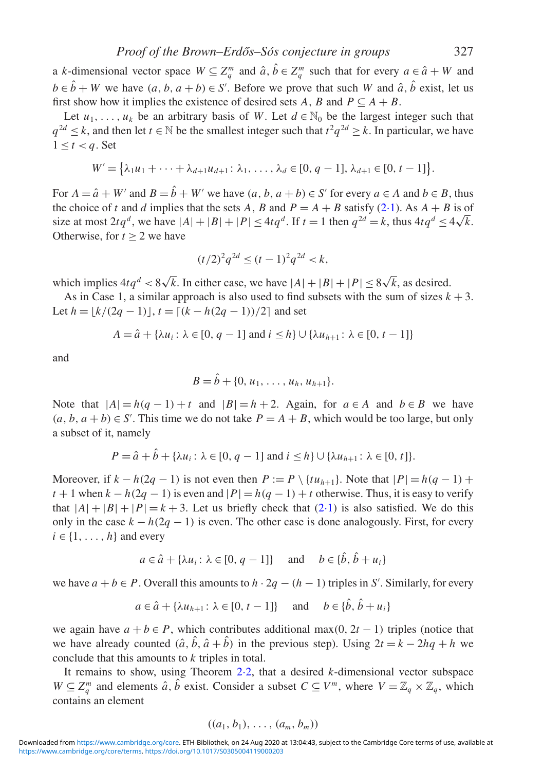a *k*-dimensional vector space  $W \subseteq Z_q^m$  and  $\hat{a}, \hat{b} \in Z_q^m$  such that for every  $a \in \hat{a} + W$  and  $b \in \hat{b} + W$  we have  $(a, b, a + b) \in S'$ . Before we prove that such *W* and  $\hat{a}$ ,  $\hat{b}$  exist, let us first show how it implies the existence of desired sets *A*, *B* and  $P \subseteq A + B$ .

Let  $u_1, \ldots, u_k$  be an arbitrary basis of *W*. Let  $d \in \mathbb{N}_0$  be the largest integer such that *q*<sup>2*d*</sup> ≤ *k*, and then let *t* ∈ N be the smallest integer such that  $t^2q^{2d}$  ≥ *k*. In particular, we have  $1 \leq t < q$ . Set

$$
W' = \left\{ \lambda_1 u_1 + \dots + \lambda_{d+1} u_{d+1} : \lambda_1, \dots, \lambda_d \in [0, q-1], \lambda_{d+1} \in [0, t-1] \right\}.
$$

For  $A = \hat{a} + W'$  and  $B = \hat{b} + W'$  we have  $(a, b, a + b) \in S'$  for every  $a \in A$  and  $b \in B$ , thus the choice of *t* and *d* implies that the sets *A*, *B* and  $P = A + B$  satisfy [\(2](#page-3-0).1). As  $A + B$  is of size at most  $2tq^d$ , we have  $|A| + |B| + |P| \le 4tq^d$ . If  $t = 1$  then  $q^{2d} = k$ , thus  $4tq^d \le 4\sqrt{k}$ . Otherwise, for  $t > 2$  we have

$$
(t/2)^2 q^{2d} \le (t-1)^2 q^{2d} < k,
$$

which implies  $4tq^d < 8\sqrt{k}$ . In either case, we have  $|A| + |B| + |P| \le 8\sqrt{k}$ , as desired.

As in Case 1, a similar approach is also used to find subsets with the sum of sizes  $k + 3$ . Let  $h = |k/(2q - 1)|$ ,  $t = \frac{(k - h(2q - 1))/2}{2}$  and set

$$
A = \hat{a} + \{\lambda u_i : \lambda \in [0, q - 1] \text{ and } i \leq h\} \cup \{\lambda u_{h+1} : \lambda \in [0, t - 1]\}
$$

and

$$
B=\hat{b}+\{0, u_1, \ldots, u_h, u_{h+1}\}.
$$

Note that  $|A| = h(q - 1) + t$  and  $|B| = h + 2$ . Again, for  $a \in A$  and  $b \in B$  we have  $(a, b, a + b) \in S'$ . This time we do not take  $P = A + B$ , which would be too large, but only a subset of it, namely

$$
P = \hat{a} + \hat{b} + \{\lambda u_i : \lambda \in [0, q - 1] \text{ and } i \leq h\} \cup \{\lambda u_{h+1} : \lambda \in [0, t]\}.
$$

Moreover, if  $k - h(2q - 1)$  is not even then  $P := P \setminus \{tu_{h+1}\}\)$ . Note that  $|P| = h(q - 1) +$  $t + 1$  when  $k - h(2q - 1)$  is even and  $|P| = h(q - 1) + t$  otherwise. Thus, it is easy to verify that  $|A|+|B|+|P|=k+3$ . Let us briefly check that  $(2-1)$  $(2-1)$  is also satisfied. We do this only in the case  $k - h(2q - 1)$  is even. The other case is done analogously. First, for every  $i \in \{1, \ldots, h\}$  and every

$$
a \in \hat{a} + {\lambda u_i : \lambda \in [0, q-1]}
$$
 and  $b \in {\{\hat{b}, \hat{b} + u_i\}}$ 

we have  $a + b \in P$ . Overall this amounts to  $h \cdot 2q - (h - 1)$  triples in *S'*. Similarly, for every

$$
a \in \hat{a} + {\lambda u_{h+1} : \lambda \in [0, t-1]}
$$
 and  $b \in {\{\hat{b}, \hat{b} + u_i\}}$ 

we again have  $a + b \in P$ , which contributes additional max(0, 2*t* − 1) triples (notice that we have already counted  $(\hat{a}, \hat{b}, \hat{a} + \hat{b})$  in the previous step). Using  $2t = k - 2hq + h$  we conclude that this amounts to *k* triples in total.

It remains to show, using Theorem 2·[2,](#page-2-2) that a desired *k*-dimensional vector subspace  $W \subseteq Z_q^m$  and elements  $\hat{a}$ ,  $\hat{b}$  exist. Consider a subset  $C \subseteq V^m$ , where  $V = \mathbb{Z}_q \times \mathbb{Z}_q$ , which contains an element

$$
((a_1,b_1),\ldots,(a_m,b_m))
$$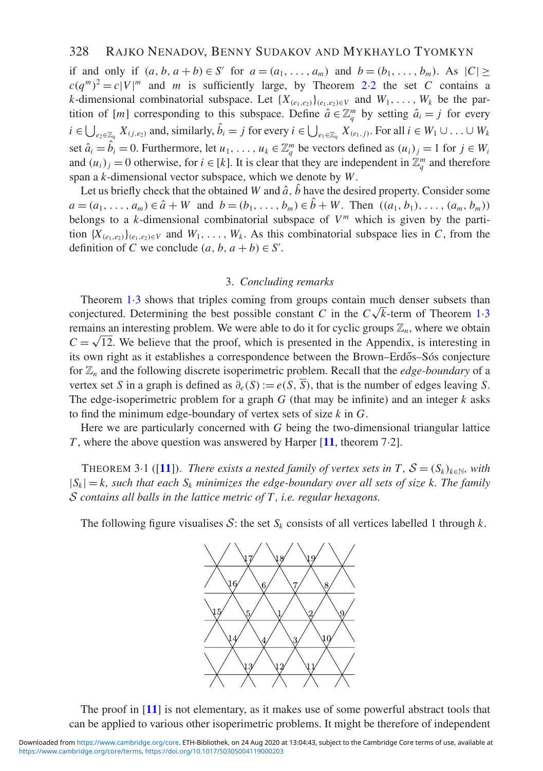if and only if  $(a, b, a + b) \in S'$  for  $a = (a_1, ..., a_m)$  and  $b = (b_1, ..., b_m)$ . As  $|C| \ge$  $c(q^m)^2 = c|V|^m$  $c(q^m)^2 = c|V|^m$  $c(q^m)^2 = c|V|^m$  and *m* is sufficiently large, by Theorem 2.2 the set *C* contains a *k*-dimensional combinatorial subspace. Let  $\{X_{(e_1,e_2)}\}_{(e_1,e_2)\in V}$  and  $W_1,\ldots,W_k$  be the partition of [*m*] corresponding to this subspace. Define  $\hat{a} \in \mathbb{Z}_q^m$  by setting  $\hat{a}_i = j$  for every  $i \in \bigcup_{e_2 \in \mathbb{Z}_q} X_{(j,e_2)}$  and, similarly,  $\hat{b}_i = j$  for every  $i \in \bigcup_{e_1 \in \mathbb{Z}_q} X_{(e_1,j)}$ . For all  $i \in W_1 \cup \ldots \cup W_k$ set  $\hat{a}_i = \hat{b}_i = 0$ . Furthermore, let  $u_1, \ldots, u_k \in \mathbb{Z}_q^m$  be vectors defined as  $(u_i)_j = 1$  for  $j \in W_i$ and  $(u_i)_j = 0$  otherwise, for  $i \in [k]$ . It is clear that they are independent in  $\mathbb{Z}_q^m$  and therefore span a *k*-dimensional vector subspace, which we denote by *W*.

Let us briefly check that the obtained *W* and  $\hat{a}$ ,  $\hat{b}$  have the desired property. Consider some  $a = (a_1, \ldots, a_m) \in \hat{a} + W$  and  $b = (b_1, \ldots, b_m) \in \hat{b} + W$ . Then  $((a_1, b_1), \ldots, (a_m, b_m))$ belongs to a *k*-dimensional combinatorial subspace of  $V<sup>m</sup>$  which is given by the partition  ${X_{(e_1,e_2)}|_{(e_1,e_2)\in V}}$  and  $W_1,\ldots,W_k$ . As this combinatorial subspace lies in *C*, from the definition of *C* we conclude  $(a, b, a+b) \in S'$ .

#### 3. *Concluding remarks*

Theorem [1](#page-2-0)·3 shows that triples coming from groups contain much denser subsets than Theorem [1](#page-2-0)·3 shows that triples coming from groups contain internations subsets than conjectured. Determining the best possible constant *C* in the  $C\sqrt{k}$ -term of Theorem 1·3 remains an interesting problem. We were able to do it for cyclic groups  $\mathbb{Z}_n$ , where we obtain  $C = \sqrt{12}$ . We believe that the proof, which is presented in the Appendix, is interesting in its own right as it establishes a correspondence between the Brown–Erdős–Sós conjecture for Z*<sup>n</sup>* and the following discrete isoperimetric problem. Recall that the *edge-boundary* of a vertex set *S* in a graph is defined as  $\partial_e(S) := e(S, \overline{S})$ , that is the number of edges leaving *S*. The edge-isoperimetric problem for a graph *G* (that may be infinite) and an integer *k* asks to find the minimum edge-boundary of vertex sets of size *k* in *G*.

<span id="page-5-0"></span>Here we are particularly concerned with *G* being the two-dimensional triangular lattice *T* , where the above question was answered by Harper [**[11](#page-9-11)**, theorem 7·2].

THEOREM 3·1 ([[11](#page-9-11)]). *There exists a nested family of vertex sets in T,*  $S = (S_k)_{k \in \mathbb{N}}$ *, with*  $|S_k| = k$ , such that each  $S_k$  minimizes the edge-boundary over all sets of size k. The family *S contains all balls in the lattice metric of T , i.e. regular hexagons.*

The following figure visualises  $S$ : the set  $S_k$  consists of all vertices labelled 1 through  $k$ .



The proof in [**[11](#page-9-11)**] is not elementary, as it makes use of some powerful abstract tools that can be applied to various other isoperimetric problems. It might be therefore of independent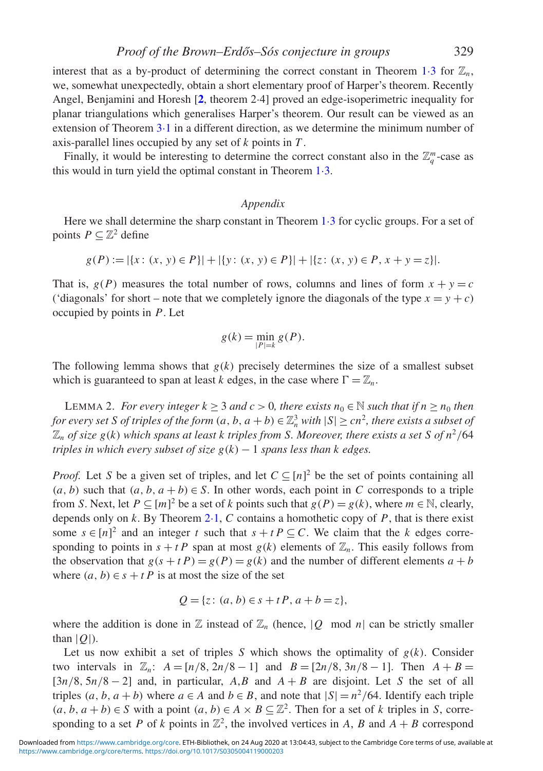interest that as a by-product of determining the correct constant in Theorem [1](#page-2-0).3 for  $\mathbb{Z}_n$ , we, somewhat unexpectedly, obtain a short elementary proof of Harper's theorem. Recently Angel, Benjamini and Horesh [**[2](#page-9-12)**, theorem 2·4] proved an edge-isoperimetric inequality for planar triangulations which generalises Harper's theorem. Our result can be viewed as an extension of Theorem [3](#page-5-0)·1 in a different direction, as we determine the minimum number of axis-parallel lines occupied by any set of *k* points in *T* .

Finally, it would be interesting to determine the correct constant also in the  $\mathbb{Z}_q^m$ -case as this would in turn yield the optimal constant in Theorem 1·[3.](#page-2-0)

#### *Appendix*

Here we shall determine the sharp constant in Theorem [1](#page-2-0).3 for cyclic groups. For a set of points  $P \subseteq \mathbb{Z}^2$  define

$$
g(P) := |\{x : (x, y) \in P\}| + |\{y : (x, y) \in P\}| + |\{z : (x, y) \in P, x + y = z\}|.
$$

That is,  $g(P)$  measures the total number of rows, columns and lines of form  $x + y = c$ ('diagonals' for short – note that we completely ignore the diagonals of the type  $x = y + c$ ) occupied by points in *P*. Let

$$
g(k) = \min_{|P|=k} g(P).
$$

<span id="page-6-0"></span>The following lemma shows that  $g(k)$  precisely determines the size of a smallest subset which is guaranteed to span at least *k* edges, in the case where  $\Gamma = \mathbb{Z}_n$ .

LEMMA 2. *For every integer*  $k \geq 3$  *and*  $c > 0$ *, there exists*  $n_0 \in \mathbb{N}$  *such that if*  $n \geq n_0$  *then for every set S of triples of the form*  $(a, b, a + b) \in \mathbb{Z}_n^3$  *with*  $|S| \ge cn^2$ , *there exists a subset of*  $\mathbb{Z}_n$  *of size g(k) which spans at least k triples from S. Moreover, there exists a set S of n<sup>2</sup>/64 triples in which every subset of size g*(*k*) − 1 *spans less than k edges.*

*Proof.* Let *S* be a given set of triples, and let  $C \subseteq [n]^2$  be the set of points containing all  $(a, b)$  such that  $(a, b, a + b) \in S$ . In other words, each point in *C* corresponds to a triple from *S*. Next, let  $P \subseteq [m]^2$  be a set of *k* points such that  $g(P) = g(k)$ , where  $m \in \mathbb{N}$ , clearly, depends only on  $k$ . By Theorem 2.[1,](#page-2-1)  $C$  contains a homothetic copy of  $P$ , that is there exist some  $s \in [n]^2$  and an integer *t* such that  $s + t P \subseteq C$ . We claim that the *k* edges corresponding to points in  $s + t$  *P* span at most  $g(k)$  elements of  $\mathbb{Z}_n$ . This easily follows from the observation that  $g(s + t) = g(P) = g(k)$  and the number of different elements  $a + b$ where  $(a, b) \in s + t$  *P* is at most the size of the set

$$
Q = \{ z \colon (a, b) \in s + tP, a + b = z \},\
$$

where the addition is done in  $\mathbb{Z}$  instead of  $\mathbb{Z}_n$  (hence,  $|Q \mod n|$  can be strictly smaller than  $|O|$ ).

Let us now exhibit a set of triples *S* which shows the optimality of  $g(k)$ . Consider two intervals in  $\mathbb{Z}_n$ :  $A = [n/8, 2n/8 - 1]$  and  $B = [2n/8, 3n/8 - 1]$ . Then  $A + B =$  $[3n/8, 5n/8 - 2]$  and, in particular, *A,B* and  $A + B$  are disjoint. Let *S* the set of all triples  $(a, b, a + b)$  where  $a \in A$  and  $b \in B$ , and note that  $|S| = n^2/64$ . Identify each triple  $(a, b, a + b) \in S$  with a point  $(a, b) \in A \times B \subseteq \mathbb{Z}^2$ . Then for a set of *k* triples in *S*, corresponding to a set P of k points in  $\mathbb{Z}^2$ , the involved vertices in A, B and  $A + B$  correspond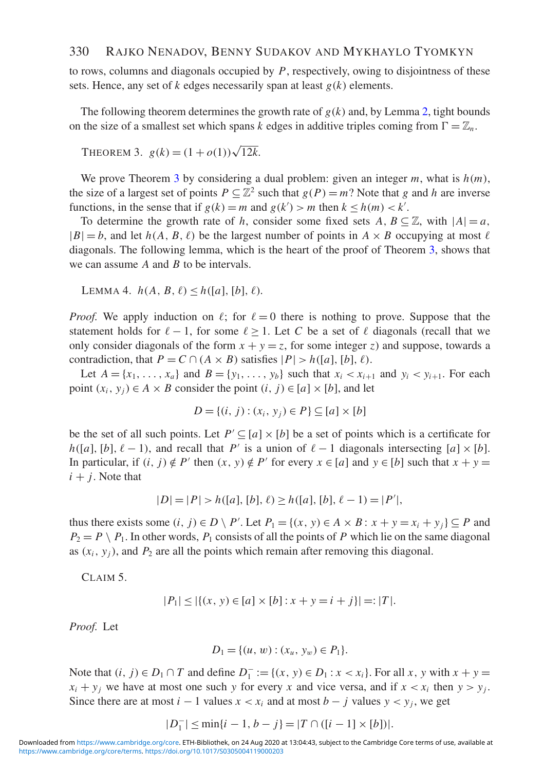to rows, columns and diagonals occupied by *P*, respectively, owing to disjointness of these sets. Hence, any set of *k* edges necessarily span at least *g*(*k*) elements.

<span id="page-7-0"></span>The following theorem determines the growth rate of  $g(k)$  and, by Lemma [2,](#page-6-0) tight bounds on the size of a smallest set which spans *k* edges in additive triples coming from  $\Gamma = \mathbb{Z}_n$ .

```
THEOREM 3. g(k) = (1 + o(1))\sqrt{12k}.
```
We prove Theorem [3](#page-7-0) by considering a dual problem: given an integer *m*, what is *h*(*m*), the size of a largest set of points  $P \subseteq \mathbb{Z}^2$  such that  $g(P) = m$ ? Note that *g* and *h* are inverse functions, in the sense that if  $g(k) = m$  and  $g(k') > m$  then  $k \le h(m) < k'$ .

To determine the growth rate of *h*, consider some fixed sets  $A, B \subseteq \mathbb{Z}$ , with  $|A| = a$ ,  $|B| = b$ , and let  $h(A, B, \ell)$  be the largest number of points in  $A \times B$  occupying at most  $\ell$ diagonals. The following lemma, which is the heart of the proof of Theorem [3,](#page-7-0) shows that we can assume *A* and *B* to be intervals.

<span id="page-7-1"></span>LEMMA 4.  $h(A, B, \ell) \leq h([a], [b], \ell)$ .

*Proof.* We apply induction on  $\ell$ ; for  $\ell = 0$  there is nothing to prove. Suppose that the statement holds for  $\ell - 1$ , for some  $\ell > 1$ . Let C be a set of  $\ell$  diagonals (recall that we only consider diagonals of the form  $x + y = z$ , for some integer *z*) and suppose, towards a contradiction, that  $P = C \cap (A \times B)$  satisfies  $|P| > h([a], [b], \ell)$ .

Let  $A = \{x_1, \ldots, x_a\}$  and  $B = \{y_1, \ldots, y_b\}$  such that  $x_i < x_{i+1}$  and  $y_i < y_{i+1}$ . For each point  $(x_i, y_j) \in A \times B$  consider the point  $(i, j) \in [a] \times [b]$ , and let

$$
D = \{(i, j) : (x_i, y_j) \in P\} \subseteq [a] \times [b]
$$

be the set of all such points. Let  $P' \subseteq [a] \times [b]$  be a set of points which is a certificate for  $h([a], [b], \ell - 1)$ , and recall that *P'* is a union of  $\ell - 1$  diagonals intersecting  $[a] \times [b]$ . In particular, if  $(i, j) \notin P'$  then  $(x, y) \notin P'$  for every  $x \in [a]$  and  $y \in [b]$  such that  $x + y =$  $i + j$ . Note that

$$
|D| = |P| > h([a], [b], \ell) \ge h([a], [b], \ell - 1) = |P'|
$$

thus there exists some  $(i, j) \in D \setminus P'$ . Let  $P_1 = \{(x, y) \in A \times B : x + y = x_i + y_j\} \subseteq P$  and  $P_2 = P \setminus P_1$ . In other words,  $P_1$  consists of all the points of *P* which lie on the same diagonal as  $(x_i, y_i)$ , and  $P_2$  are all the points which remain after removing this diagonal.

CLAIM 5.

$$
|P_1| \le |\{(x, y) \in [a] \times [b] : x + y = i + j\}| = |T|.
$$

*Proof.* Let

$$
D_1 = \{(u, w) : (x_u, y_w) \in P_1\}.
$$

Note that  $(i, j) \in D_1 \cap T$  and define  $D_1^- := \{(x, y) \in D_1 : x < x_i\}$ . For all  $x, y$  with  $x + y =$  $x_i + y_j$  we have at most one such *y* for every *x* and vice versa, and if  $x < x_i$  then  $y > y_i$ . Since there are at most  $i - 1$  values  $x < x_i$  and at most  $b - j$  values  $y < y_i$ , we get

$$
|D_1^-| \le \min\{i-1, b-j\} = |T \cap ([i-1] \times [b])|.
$$

[https://www.cambridge.org/core/terms.](https://www.cambridge.org/core/terms) <https://doi.org/10.1017/S0305004119000203> Downloaded from [https://www.cambridge.org/core.](https://www.cambridge.org/core) ETH-Bibliothek, on 24 Aug 2020 at 13:04:43, subject to the Cambridge Core terms of use, available at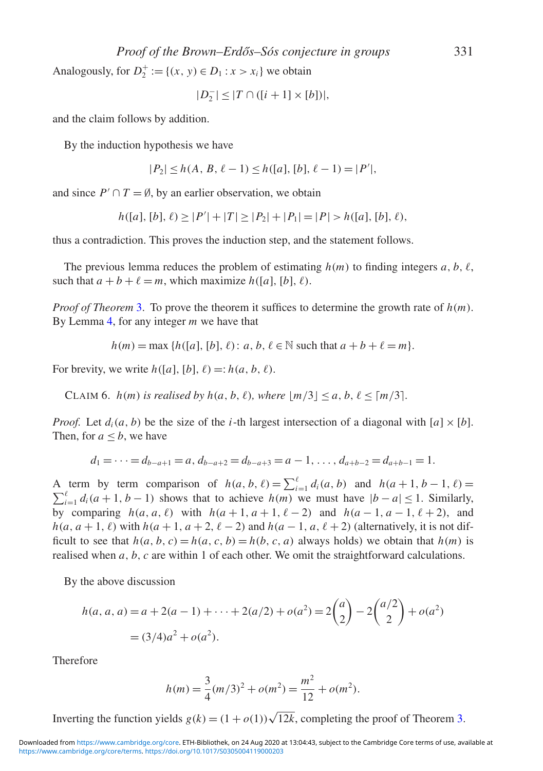*Proof of the Brown–Erd ˝os–Sós conjecture in groups* 331

Analogously, for  $D_2^+ := \{(x, y) \in D_1 : x > x_i\}$  we obtain

$$
|D_2^-| \leq |T \cap ([i+1] \times [b])|,
$$

and the claim follows by addition.

By the induction hypothesis we have

$$
|P_2| \le h(A, B, \ell - 1) \le h([a], [b], \ell - 1) = |P'|,
$$

and since  $P' \cap T = \emptyset$ , by an earlier observation, we obtain

$$
h([a], [b], \ell) \ge |P'| + |T| \ge |P_2| + |P_1| = |P| > h([a], [b], \ell),
$$

thus a contradiction. This proves the induction step, and the statement follows.

The previous lemma reduces the problem of estimating  $h(m)$  to finding integers  $a, b, \ell$ , such that  $a + b + \ell = m$ , which maximize  $h([a], [b], \ell)$ .

*Proof of Theorem* [3.](#page-7-0) To prove the theorem it suffices to determine the growth rate of *h*(*m*). By Lemma [4,](#page-7-1) for any integer *m* we have that

 $h(m) = \max \{h([a], [b], \ell) : a, b, \ell \in \mathbb{N} \text{ such that } a + b + \ell = m\}.$ 

<span id="page-8-0"></span>For brevity, we write  $h([a], [b], \ell) =: h(a, b, \ell)$ .

CLAIM 6.  $h(m)$  *is realised by*  $h(a, b, \ell)$ *, where*  $|m/3| < a, b, \ell < [m/3]$ *.* 

*Proof.* Let  $d_i(a, b)$  be the size of the *i*-th largest intersection of a diagonal with  $[a] \times [b]$ . Then, for  $a \leq b$ , we have

$$
d_1 = \cdots = d_{b-a+1} = a, d_{b-a+2} = d_{b-a+3} = a-1, \ldots, d_{a+b-2} = d_{a+b-1} = 1.
$$

A term by term comparison of  $h(a, b, \ell) = \sum_{i=1}^{\ell} d_i(a, b)$  and  $h(a+1, b-1, \ell) =$ <br> $\sum^{\ell} d(a+1, b-1)$  shows that to sobjey  $h(m)$  we must have  $|h-a| < 1$  Similarly  $\sum_{i=1}^{l} d_i(a+1, b-1)$  shows that to achieve *h*(*m*) we must have  $|b-a| \leq 1$ . Similarly, by comparing  $h(a, a, \ell)$  with  $h(a + 1, a + 1, \ell - 2)$  and  $h(a - 1, a - 1, \ell + 2)$ , and  $h(a, a+1, \ell)$  with  $h(a+1, a+2, \ell-2)$  and  $h(a-1, a, \ell+2)$  (alternatively, it is not difficult to see that  $h(a, b, c) = h(a, c, b) = h(b, c, a)$  always holds) we obtain that  $h(m)$  is realised when *a*, *b*, *c* are within 1 of each other. We omit the straightforward calculations.

By the above discussion

$$
h(a, a, a) = a + 2(a - 1) + \dots + 2(a/2) + o(a^2) = 2\binom{a}{2} - 2\binom{a/2}{2} + o(a^2) = (3/4)a^2 + o(a^2).
$$

Therefore

$$
h(m) = \frac{3}{4}(m/3)^2 + o(m^2) = \frac{m^2}{12} + o(m^2).
$$

Inverting the function yields  $g(k) = (1 + o(1))\sqrt{12k}$ , completing the proof of Theorem [3.](#page-7-0)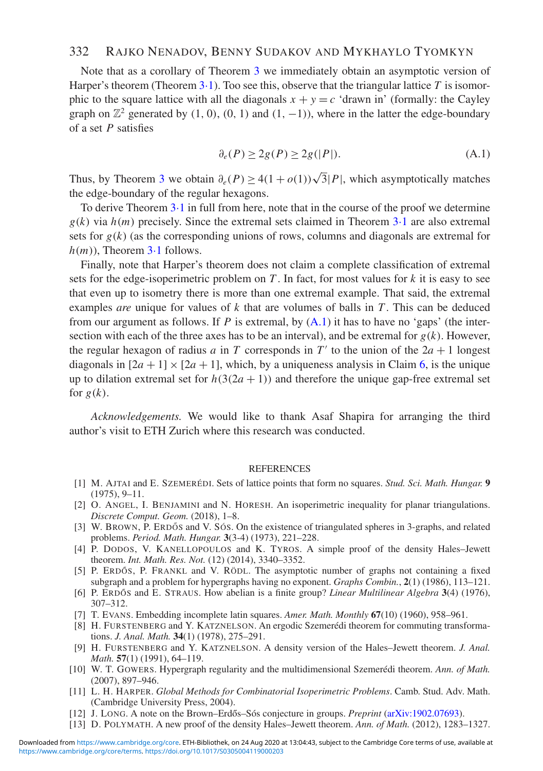### 332 RAJKO NENADOV, BENNY SUDAKOV AND MYKHAYLO TYOMKYN

Note that as a corollary of Theorem [3](#page-7-0) we immediately obtain an asymptotic version of Harper's theorem (Theorem 3·[1\)](#page-5-0). Too see this, observe that the triangular lattice *T* is isomorphic to the square lattice with all the diagonals  $x + y = c$  'drawn in' (formally: the Cayley graph on  $\mathbb{Z}^2$  generated by (1, 0), (0, 1) and (1, -1)), where in the latter the edge-boundary of a set *P* satisfies

<span id="page-9-13"></span>
$$
\partial_e(P) \ge 2g(P) \ge 2g(|P|). \tag{A.1}
$$

Thus, by Theorem [3](#page-7-0) we obtain  $\partial_e(P) > 4(1 + o(1))\sqrt{3}|P|$ , which asymptotically matches the edge-boundary of the regular hexagons.

To derive Theorem [3](#page-5-0)·1 in full from here, note that in the course of the proof we determine  $g(k)$  via  $h(m)$  precisely. Since the extremal sets claimed in Theorem [3](#page-5-0)·1 are also extremal sets for  $g(k)$  (as the corresponding unions of rows, columns and diagonals are extremal for  $h(m)$ ), Theorem  $3.1$  $3.1$  follows.

Finally, note that Harper's theorem does not claim a complete classification of extremal sets for the edge-isoperimetric problem on *T* . In fact, for most values for *k* it is easy to see that even up to isometry there is more than one extremal example. That said, the extremal examples *are* unique for values of *k* that are volumes of balls in *T* . This can be deduced from our argument as follows. If *P* is extremal, by  $(A.1)$  it has to have no 'gaps' (the intersection with each of the three axes has to be an interval), and be extremal for  $g(k)$ . However, the regular hexagon of radius *a* in *T* corresponds in  $T'$  to the union of the  $2a + 1$  longest diagonals in  $[2a + 1] \times [2a + 1]$ , which, by a uniqueness analysis in Claim [6,](#page-8-0) is the unique up to dilation extremal set for  $h(3(2a + 1))$  and therefore the unique gap-free extremal set for  $g(k)$ .

*Acknowledgements.* We would like to thank Asaf Shapira for arranging the third author's visit to ETH Zurich where this research was conducted.

#### **REFERENCES**

- <span id="page-9-1"></span>[1] M. AJTAI and E. SZEMERÉDI. Sets of lattice points that form no squares. *Stud. Sci. Math. Hungar.* **9** (1975), 9–11.
- <span id="page-9-12"></span>[2] O. ANGEL, I. BENJAMINI and N. HORESH. An isoperimetric inequality for planar triangulations. *Discrete Comput. Geom.* (2018), 1–8.
- <span id="page-9-0"></span>[3] W. BROWN, P. ERDOS and V. SOS. On the existence of triangulated spheres in 3-graphs, and related problems. *Period. Math. Hungar.* **3**(3-4) (1973), 221–228.
- <span id="page-9-7"></span>[4] P. DODOS, V. KANELLOPOULOS and K. TYROS. A simple proof of the density Hales–Jewett theorem. *Int. Math. Res. Not.* (12) (2014), 3340–3352.
- <span id="page-9-2"></span>[5] P. ERDÓS, P. FRANKL and V. RÖDL. The asymptotic number of graphs not containing a fixed subgraph and a problem for hypergraphs having no exponent. *Graphs Combin.*, **2**(1) (1986), 113–121.
- <span id="page-9-10"></span>[6] P. ERDOS˝ and E. STRAUS. How abelian is a finite group? *Linear Multilinear Algebra* **3**(4) (1976), 307–312.
- <span id="page-9-5"></span><span id="page-9-3"></span>[7] T. EVANS. Embedding incomplete latin squares. *Amer. Math. Monthly* **67**(10) (1960), 958–961.
- [8] H. FURSTENBERG and Y. KATZNELSON. An ergodic Szemerédi theorem for commuting transformations. *J. Anal. Math.* **34**(1) (1978), 275–291.
- <span id="page-9-8"></span>[9] H. FURSTENBERG and Y. KATZNELSON. A density version of the Hales–Jewett theorem. *J. Anal. Math.* **57**(1) (1991), 64–119.
- <span id="page-9-6"></span>[10] W. T. GOWERS. Hypergraph regularity and the multidimensional Szemerédi theorem. *Ann. of Math.* (2007), 897–946.
- <span id="page-9-11"></span>[11] L. H. HARPER. *Global Methods for Combinatorial Isoperimetric Problems*. Camb. Stud. Adv. Math. (Cambridge University Press, 2004).
- <span id="page-9-9"></span><span id="page-9-4"></span>[12] J. LONG. A note on the Brown–Erdős–Sós conjecture in groups. *Preprint* [\(arXiv:1902.07693\)](https://arXiv:1902.07693).
- [13] D. POLYMATH. A new proof of the density Hales–Jewett theorem. *Ann. of Math.* (2012), 1283–1327.